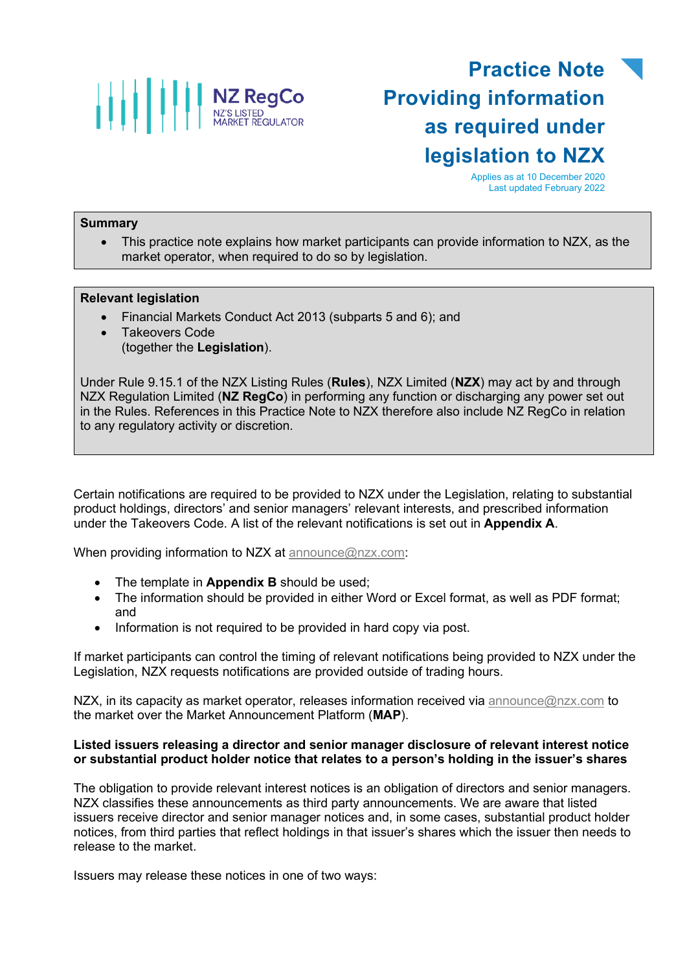

# **Practice Note Providing information as required under legislation to NZX**

Applies as at 10 December 2020 Last updated February 2022

### **Summary**

• This practice note explains how market participants can provide information to NZX, as the market operator, when required to do so by legislation.

#### **Relevant legislation**

- Financial Markets Conduct Act 2013 (subparts 5 and 6); and
- Takeovers Code (together the **Legislation**).

Under Rule 9.15.1 of the NZX Listing Rules (**Rules**), NZX Limited (**NZX**) may act by and through NZX Regulation Limited (**NZ RegCo**) in performing any function or discharging any power set out in the Rules. References in this Practice Note to NZX therefore also include NZ RegCo in relation to any regulatory activity or discretion.

Certain notifications are required to be provided to NZX under the Legislation, relating to substantial product holdings, directors' and senior managers' relevant interests, and prescribed information under the Takeovers Code. A list of the relevant notifications is set out in **Appendix A**.

When providing information to NZX at [announce@nzx.com:](mailto:announce@nzx.com)

- The template in **Appendix B** should be used;
- The information should be provided in either Word or Excel format, as well as PDF format; and
- Information is not required to be provided in hard copy via post.

If market participants can control the timing of relevant notifications being provided to NZX under the Legislation, NZX requests notifications are provided outside of trading hours.

NZX, in its capacity as market operator, releases information received via [announce@nzx.com](mailto:announce@nzx.com) to the market over the Market Announcement Platform (**MAP**).

### **Listed issuers releasing a director and senior manager disclosure of relevant interest notice or substantial product holder notice that relates to a person's holding in the issuer's shares**

The obligation to provide relevant interest notices is an obligation of directors and senior managers. NZX classifies these announcements as third party announcements. We are aware that listed issuers receive director and senior manager notices and, in some cases, substantial product holder notices, from third parties that reflect holdings in that issuer's shares which the issuer then needs to release to the market.

Issuers may release these notices in one of two ways: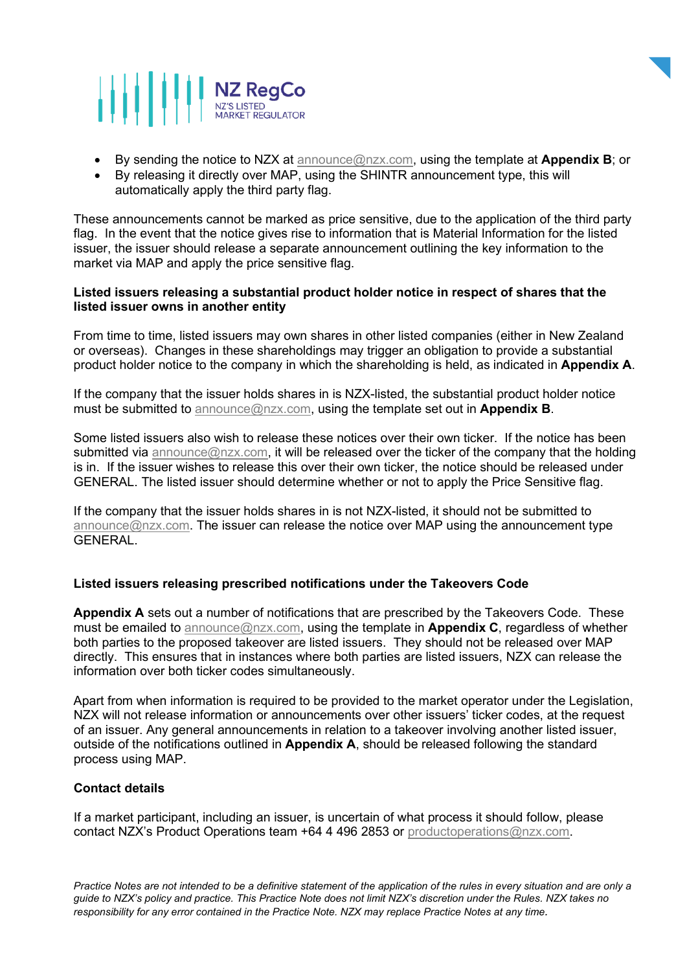



- By sending the notice to NZX at [announce@nzx.com,](mailto:announce@nzx.com) using the template at **Appendix B**; or
- By releasing it directly over MAP, using the SHINTR announcement type, this will automatically apply the third party flag.

These announcements cannot be marked as price sensitive, due to the application of the third party flag. In the event that the notice gives rise to information that is Material Information for the listed issuer, the issuer should release a separate announcement outlining the key information to the market via MAP and apply the price sensitive flag.

# **Listed issuers releasing a substantial product holder notice in respect of shares that the listed issuer owns in another entity**

From time to time, listed issuers may own shares in other listed companies (either in New Zealand or overseas). Changes in these shareholdings may trigger an obligation to provide a substantial product holder notice to the company in which the shareholding is held, as indicated in **Appendix A**.

If the company that the issuer holds shares in is NZX-listed, the substantial product holder notice must be submitted to [announce@nzx.com,](mailto:announce@nzx.com) using the template set out in **Appendix B**.

Some listed issuers also wish to release these notices over their own ticker. If the notice has been submitted via [announce@nzx.com,](mailto:announce@nzx.com) it will be released over the ticker of the company that the holding is in. If the issuer wishes to release this over their own ticker, the notice should be released under GENERAL. The listed issuer should determine whether or not to apply the Price Sensitive flag.

If the company that the issuer holds shares in is not NZX-listed, it should not be submitted to  $announce@nzx.com$ . The issuer can release the notice over MAP using the announcement type **GENERAL** 

# **Listed issuers releasing prescribed notifications under the Takeovers Code**

**Appendix A** sets out a number of notifications that are prescribed by the Takeovers Code. These must be emailed to [announce@nzx.com,](mailto:announce@nzx.com) using the template in **Appendix C**, regardless of whether both parties to the proposed takeover are listed issuers. They should not be released over MAP directly. This ensures that in instances where both parties are listed issuers, NZX can release the information over both ticker codes simultaneously.

Apart from when information is required to be provided to the market operator under the Legislation, NZX will not release information or announcements over other issuers' ticker codes, at the request of an issuer. Any general announcements in relation to a takeover involving another listed issuer, outside of the notifications outlined in **Appendix A**, should be released following the standard process using MAP.

# **Contact details**

If a market participant, including an issuer, is uncertain of what process it should follow, please contact NZX's Product Operations team +64 4 496 2853 or [productoperations@nzx.com.](mailto:cds@nzx.com)

*Practice Notes are not intended to be a definitive statement of the application of the rules in every situation and are only a guide to NZX's policy and practice. This Practice Note does not limit NZX's discretion under the Rules. NZX takes no responsibility for any error contained in the Practice Note. NZX may replace Practice Notes at any time.*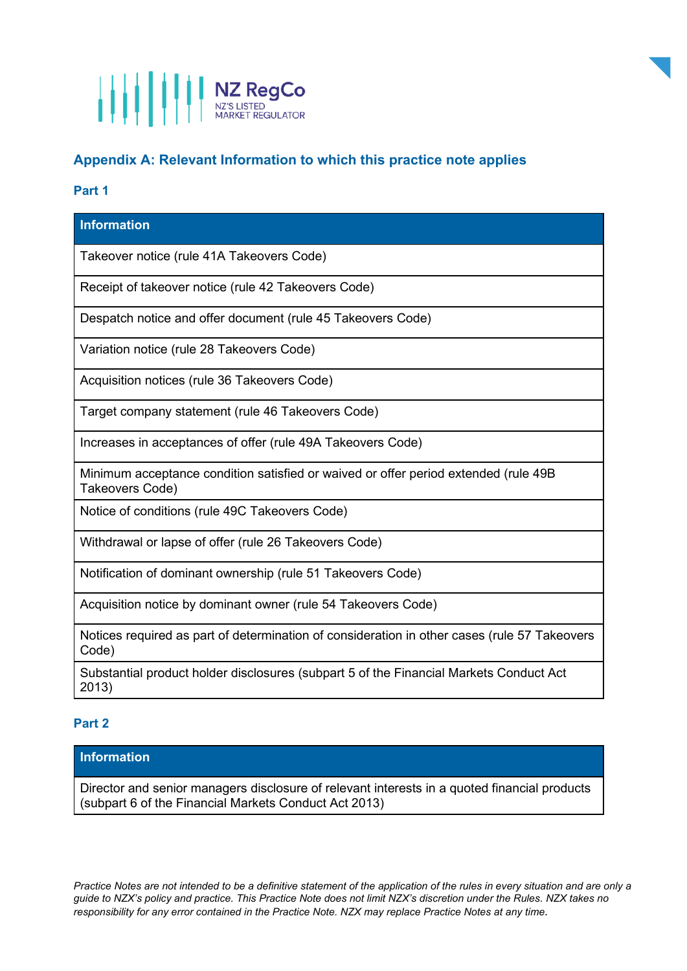

# **Appendix A: Relevant Information to which this practice note applies**

# **Part 1**

# **Information** Takeover notice (rule 41A Takeovers Code) Receipt of takeover notice (rule 42 Takeovers Code) Despatch notice and offer document (rule 45 Takeovers Code) Variation notice (rule 28 Takeovers Code) Acquisition notices (rule 36 Takeovers Code) Target company statement (rule 46 Takeovers Code) Increases in acceptances of offer (rule 49A Takeovers Code) Minimum acceptance condition satisfied or waived or offer period extended (rule 49B Takeovers Code) Notice of conditions (rule 49C Takeovers Code) Withdrawal or lapse of offer (rule 26 Takeovers Code)

Notification of dominant ownership (rule 51 Takeovers Code)

Acquisition notice by dominant owner (rule 54 Takeovers Code)

Notices required as part of determination of consideration in other cases (rule 57 Takeovers Code)

Substantial product holder disclosures (subpart 5 of the Financial Markets Conduct Act 2013)

# **Part 2**

# **Information**

Director and senior managers disclosure of relevant interests in a quoted financial products (subpart 6 of the Financial Markets Conduct Act 2013)

*Practice Notes are not intended to be a definitive statement of the application of the rules in every situation and are only a guide to NZX's policy and practice. This Practice Note does not limit NZX's discretion under the Rules. NZX takes no responsibility for any error contained in the Practice Note. NZX may replace Practice Notes at any time.*